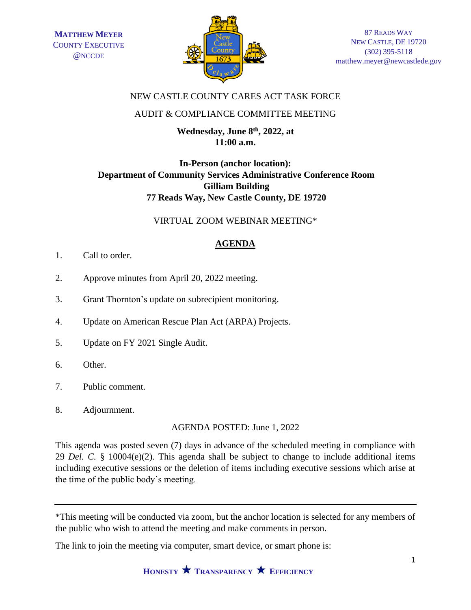

### NEW CASTLE COUNTY CARES ACT TASK FORCE

### AUDIT & COMPLIANCE COMMITTEE MEETING

**Wednesday, June 8th, 2022, at 11:00 a.m.**

# **In-Person (anchor location): Department of Community Services Administrative Conference Room Gilliam Building 77 Reads Way, New Castle County, DE 19720**

### VIRTUAL ZOOM WEBINAR MEETING\*

## **AGENDA**

- 1. Call to order.
- 2. Approve minutes from April 20, 2022 meeting.
- 3. Grant Thornton's update on subrecipient monitoring.
- 4. Update on American Rescue Plan Act (ARPA) Projects.
- 5. Update on FY 2021 Single Audit.
- 6. Other.
- 7. Public comment.
- 8. Adjournment.

AGENDA POSTED: June 1, 2022

This agenda was posted seven (7) days in advance of the scheduled meeting in compliance with 29 *Del. C.* § 10004(e)(2). This agenda shall be subject to change to include additional items including executive sessions or the deletion of items including executive sessions which arise at the time of the public body's meeting.

The link to join the meeting via computer, smart device, or smart phone is:

<sup>\*</sup>This meeting will be conducted via zoom, but the anchor location is selected for any members of the public who wish to attend the meeting and make comments in person.